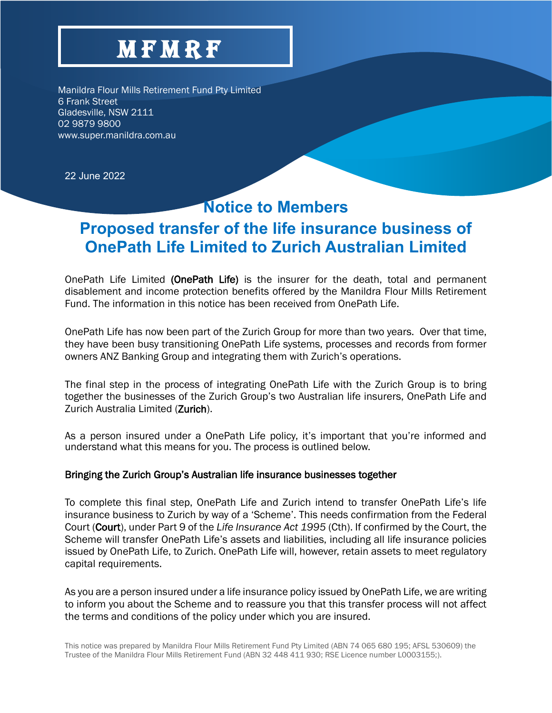# **MFMRF**

Manildra Flour Mills Retirement Fund Pty Limited 6 Frank Street Gladesville, NSW 2111 02 9879 9800 www.super.manildra.com.au

22 June 2022

### **Notice to Members**

## **Proposed transfer of the life insurance business of OnePath Life Limited to Zurich Australian Limited**

OnePath Life Limited (OnePath Life) is the insurer for the death, total and permanent disablement and income protection benefits offered by the Manildra Flour Mills Retirement Fund. The information in this notice has been received from OnePath Life.

OnePath Life has now been part of the Zurich Group for more than two years. Over that time, they have been busy transitioning OnePath Life systems, processes and records from former owners ANZ Banking Group and integrating them with Zurich's operations.

The final step in the process of integrating OnePath Life with the Zurich Group is to bring together the businesses of the Zurich Group's two Australian life insurers, OnePath Life and Zurich Australia Limited (Zurich).

As a person insured under a OnePath Life policy, it's important that you're informed and understand what this means for you. The process is outlined below.

#### Bringing the Zurich Group's Australian life insurance businesses together

To complete this final step, OnePath Life and Zurich intend to transfer OnePath Life's life insurance business to Zurich by way of a 'Scheme'. This needs confirmation from the Federal Court (Court), under Part 9 of the *Life Insurance Act 1995* (Cth). If confirmed by the Court, the Scheme will transfer OnePath Life's assets and liabilities, including all life insurance policies issued by OnePath Life, to Zurich. OnePath Life will, however, retain assets to meet regulatory capital requirements.

As you are a person insured under a life insurance policy issued by OnePath Life, we are writing to inform you about the Scheme and to reassure you that this transfer process will not affect the terms and conditions of the policy under which you are insured.